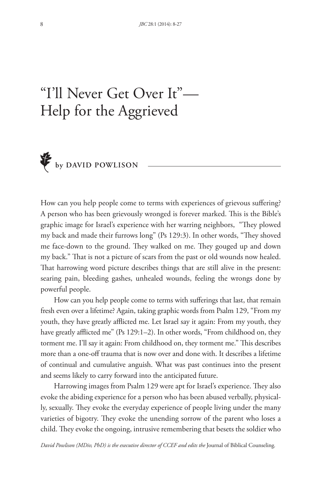# "I'll Never Get Over It"— Help for the Aggrieved



How can you help people come to terms with experiences of grievous sufering? A person who has been grievously wronged is forever marked. This is the Bible's graphic image for Israel's experience with her warring neighbors, "They plowed my back and made their furrows long" (Ps 129:3). In other words, "They shoved me face-down to the ground. They walked on me. They gouged up and down my back." That is not a picture of scars from the past or old wounds now healed. That harrowing word picture describes things that are still alive in the present: searing pain, bleeding gashes, unhealed wounds, feeling the wrongs done by powerful people.

How can you help people come to terms with suferings that last, that remain fresh even over a lifetime? Again, taking graphic words from Psalm 129, "From my youth, they have greatly afflicted me. Let Israel say it again: From my youth, they have greatly afflicted me" (Ps 129:1–2). In other words, "From childhood on, they torment me. I'll say it again: From childhood on, they torment me." This describes more than a one-of trauma that is now over and done with. It describes a lifetime of continual and cumulative anguish. What was past continues into the present and seems likely to carry forward into the anticipated future.

Harrowing images from Psalm 129 were apt for Israel's experience. They also evoke the abiding experience for a person who has been abused verbally, physically, sexually. They evoke the everyday experience of people living under the many varieties of bigotry. They evoke the unending sorrow of the parent who loses a child. They evoke the ongoing, intrusive remembering that besets the soldier who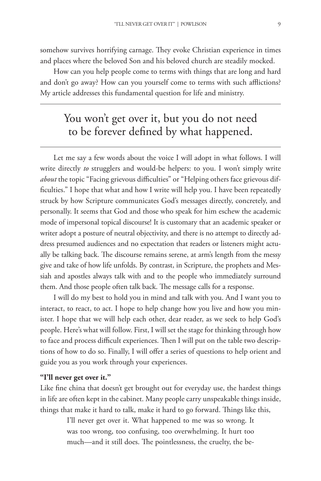somehow survives horrifying carnage. They evoke Christian experience in times and places where the beloved Son and his beloved church are steadily mocked.

How can you help people come to terms with things that are long and hard and don't go away? How can you yourself come to terms with such afflictions? My article addresses this fundamental question for life and ministry.

# You won't get over it, but you do not need to be forever defned by what happened.

Let me say a few words about the voice I will adopt in what follows. I will write directly *to* strugglers and would-be helpers: to you. I won't simply write *about* the topic "Facing grievous difficulties" or "Helping others face grievous diffculties." I hope that what and how I write will help you. I have been repeatedly struck by how Scripture communicates God's messages directly, concretely, and personally. It seems that God and those who speak for him eschew the academic mode of impersonal topical discourse! It is customary that an academic speaker or writer adopt a posture of neutral objectivity, and there is no attempt to directly address presumed audiences and no expectation that readers or listeners might actually be talking back. The discourse remains serene, at arm's length from the messy give and take of how life unfolds. By contrast, in Scripture, the prophets and Messiah and apostles always talk with and to the people who immediately surround them. And those people often talk back. The message calls for a response.

I will do my best to hold you in mind and talk with you. And I want you to interact, to react, to act. I hope to help change how you live and how you minister. I hope that we will help each other, dear reader, as we seek to help God's people. Here's what will follow. First, I will set the stage for thinking through how to face and process difficult experiences. Then I will put on the table two descriptions of how to do so. Finally, I will offer a series of questions to help orient and guide you as you work through your experiences.

## **"I'll never get over it."**

Like fne china that doesn't get brought out for everyday use, the hardest things in life are often kept in the cabinet. Many people carry unspeakable things inside, things that make it hard to talk, make it hard to go forward. Things like this,

> I'll never get over it. What happened to me was so wrong. It was too wrong, too confusing, too overwhelming. It hurt too much—and it still does. The pointlessness, the cruelty, the be-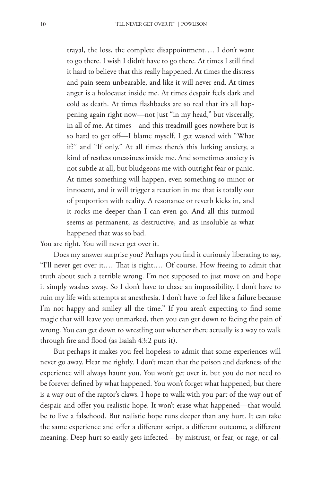trayal, the loss, the complete disappointment…. I don't want to go there. I wish I didn't have to go there. At times I still fnd it hard to believe that this really happened. At times the distress and pain seem unbearable, and like it will never end. At times anger is a holocaust inside me. At times despair feels dark and cold as death. At times fashbacks are so real that it's all happening again right now—not just "in my head," but viscerally, in all of me. At times—and this treadmill goes nowhere but is so hard to get of—I blame myself. I get wasted with "What if?" and "If only." At all times there's this lurking anxiety, a kind of restless uneasiness inside me. And sometimes anxiety is not subtle at all, but bludgeons me with outright fear or panic. At times something will happen, even something so minor or innocent, and it will trigger a reaction in me that is totally out of proportion with reality. A resonance or reverb kicks in, and it rocks me deeper than I can even go. And all this turmoil seems as permanent, as destructive, and as insoluble as what happened that was so bad.

You are right. You will never get over it.

Does my answer surprise you? Perhaps you fnd it curiously liberating to say, "I'll never get over it.... That is right.... Of course. How freeing to admit that truth about such a terrible wrong. I'm not supposed to just move on and hope it simply washes away. So I don't have to chase an impossibility. I don't have to ruin my life with attempts at anesthesia. I don't have to feel like a failure because I'm not happy and smiley all the time." If you aren't expecting to find some magic that will leave you unmarked, then you can get down to facing the pain of wrong. You can get down to wrestling out whether there actually is a way to walk through fre and food (as Isaiah 43:2 puts it).

But perhaps it makes you feel hopeless to admit that some experiences will never go away. Hear me rightly. I don't mean that the poison and darkness of the experience will always haunt you. You won't get over it, but you do not need to be forever defned by what happened. You won't forget what happened, but there is a way out of the raptor's claws. I hope to walk with you part of the way out of despair and offer you realistic hope. It won't erase what happened—that would be to live a falsehood. But realistic hope runs deeper than any hurt. It can take the same experience and offer a different script, a different outcome, a different meaning. Deep hurt so easily gets infected—by mistrust, or fear, or rage, or cal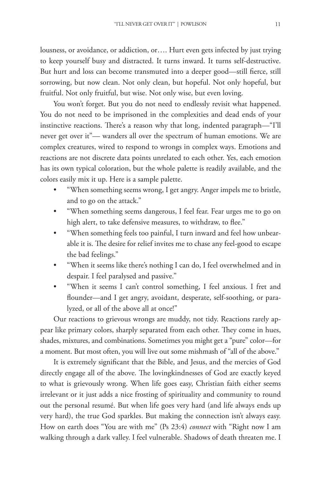lousness, or avoidance, or addiction, or…. Hurt even gets infected by just trying to keep yourself busy and distracted. It turns inward. It turns self-destructive. But hurt and loss can become transmuted into a deeper good—still ferce, still sorrowing, but now clean. Not only clean, but hopeful. Not only hopeful, but fruitful. Not only fruitful, but wise. Not only wise, but even loving.

You won't forget. But you do not need to endlessly revisit what happened. You do not need to be imprisoned in the complexities and dead ends of your instinctive reactions. There's a reason why that long, indented paragraph—"I'll never get over it"— wanders all over the spectrum of human emotions. We are complex creatures, wired to respond to wrongs in complex ways. Emotions and reactions are not discrete data points unrelated to each other. Yes, each emotion has its own typical coloration, but the whole palette is readily available, and the colors easily mix it up. Here is a sample palette.

- "When something seems wrong, I get angry. Anger impels me to bristle, and to go on the attack."
- "When something seems dangerous, I feel fear. Fear urges me to go on high alert, to take defensive measures, to withdraw, to flee."
- "When something feels too painful, I turn inward and feel how unbearable it is. The desire for relief invites me to chase any feel-good to escape the bad feelings."
- "When it seems like there's nothing I can do, I feel overwhelmed and in despair. I feel paralysed and passive."
- t "When it seems I can't control something, I feel anxious. I fret and founder—and I get angry, avoidant, desperate, self-soothing, or paralyzed, or all of the above all at once!"

Our reactions to grievous wrongs are muddy, not tidy. Reactions rarely appear like primary colors, sharply separated from each other. They come in hues, shades, mixtures, and combinations. Sometimes you might get a "pure" color—for a moment. But most often, you will live out some mishmash of "all of the above."

It is extremely signifcant that the Bible, and Jesus, and the mercies of God directly engage all of the above. The lovingkindnesses of God are exactly keyed to what is grievously wrong. When life goes easy, Christian faith either seems irrelevant or it just adds a nice frosting of spirituality and community to round out the personal resumé. But when life goes very hard (and life always ends up very hard), the true God sparkles. But making the connection isn't always easy. How on earth does "You are with me" (Ps 23:4) *connect* with "Right now I am walking through a dark valley. I feel vulnerable. Shadows of death threaten me. I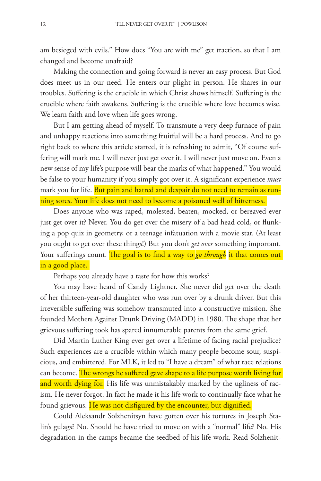am besieged with evils." How does "You are with me" get traction, so that I am changed and become unafraid?

Making the connection and going forward is never an easy process. But God does meet us in our need. He enters our plight in person. He shares in our troubles. Sufering is the crucible in which Christ shows himself. Sufering is the crucible where faith awakens. Sufering is the crucible where love becomes wise. We learn faith and love when life goes wrong.

But I am getting ahead of myself. To transmute a very deep furnace of pain and unhappy reactions into something fruitful will be a hard process. And to go right back to where this article started, it is refreshing to admit, "Of course suffering will mark me. I will never just get over it. I will never just move on. Even a new sense of my life's purpose will bear the marks of what happened." You would be false to your humanity if you simply got over it. A signifcant experience *must* mark you for life. But pain and hatred and despair do not need to remain as running sores. Your life does not need to become a poisoned well of bitterness.

Does anyone who was raped, molested, beaten, mocked, or bereaved ever just get over it? Never. You do get over the misery of a bad head cold, or funking a pop quiz in geometry, or a teenage infatuation with a movie star. (At least you ought to get over these things!) But you don't *get over* something important. Your sufferings count. The goal is to find a way to *go through* it that comes out in a good place.

Perhaps you already have a taste for how this works?

You may have heard of Candy Lightner. She never did get over the death of her thirteen-year-old daughter who was run over by a drunk driver. But this irreversible suffering was somehow transmuted into a constructive mission. She founded Mothers Against Drunk Driving (MADD) in 1980. The shape that her grievous sufering took has spared innumerable parents from the same grief.

Did Martin Luther King ever get over a lifetime of facing racial prejudice? Such experiences are a crucible within which many people become sour, suspicious, and embittered. For MLK, it led to "I have a dream" of what race relations can become. The wrongs he suffered gave shape to a life purpose worth living for and worth dying for. His life was unmistakably marked by the ugliness of racism. He never forgot. In fact he made it his life work to continually face what he found grievous. He was not disfigured by the encounter, but dignified.

Could Aleksandr Solzhenitsyn have gotten over his tortures in Joseph Stalin's gulags? No. Should he have tried to move on with a "normal" life? No. His degradation in the camps became the seedbed of his life work. Read Solzhenit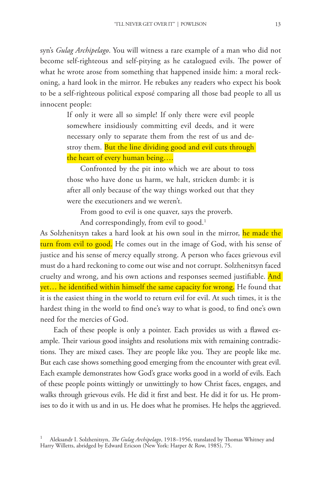syn's *Gulag Archipelago*. You will witness a rare example of a man who did not become self-righteous and self-pitying as he catalogued evils. The power of what he wrote arose from something that happened inside him: a moral reckoning, a hard look in the mirror. He rebukes any readers who expect his book to be a self-righteous political exposé comparing all those bad people to all us innocent people:

> If only it were all so simple! If only there were evil people somewhere insidiously committing evil deeds, and it were necessary only to separate them from the rest of us and destroy them. But the line dividing good and evil cuts through the heart of every human being….

> Confronted by the pit into which we are about to toss those who have done us harm, we halt, stricken dumb: it is after all only because of the way things worked out that they were the executioners and we weren't.

From good to evil is one quaver, says the proverb.

And correspondingly, from evil to good.<sup>1</sup>

As Solzhenitsyn takes a hard look at his own soul in the mirror, he made the turn from evil to good. He comes out in the image of God, with his sense of justice and his sense of mercy equally strong. A person who faces grievous evil must do a hard reckoning to come out wise and not corrupt. Solzhenitsyn faced cruelty and wrong, and his own actions and responses seemed justifiable. And yet... he identified within himself the same capacity for wrong. He found that it is the easiest thing in the world to return evil for evil. At such times, it is the hardest thing in the world to fnd one's way to what is good, to fnd one's own need for the mercies of God.

Each of these people is only a pointer. Each provides us with a fawed example. Their various good insights and resolutions mix with remaining contradictions. They are mixed cases. They are people like you. They are people like me. But each case shows something good emerging from the encounter with great evil. Each example demonstrates how God's grace works good in a world of evils. Each of these people points wittingly or unwittingly to how Christ faces, engages, and walks through grievous evils. He did it frst and best. He did it for us. He promises to do it with us and in us. He does what he promises. He helps the aggrieved.

Aleksandr I. Solzhenitsyn, *The Gulag Archipelago*, 1918–1956, translated by Thomas Whitney and Harry Willetts, abridged by Edward Ericson (New York: Harper & Row, 1985), 75.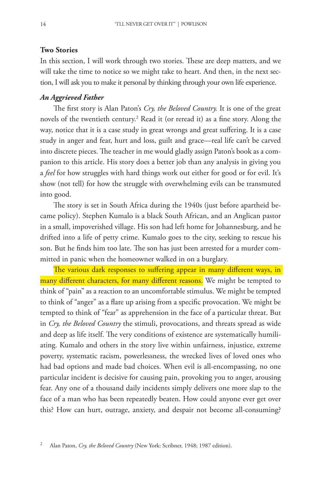### **Two Stories**

In this section, I will work through two stories. These are deep matters, and we will take the time to notice so we might take to heart. And then, in the next section, I will ask you to make it personal by thinking through your own life experience.

## *An Aggrieved Father*

The first story is Alan Paton's Cry, the Beloved Country. It is one of the great novels of the twentieth century.2 Read it (or reread it) as a fne story. Along the way, notice that it is a case study in great wrongs and great sufering. It is a case study in anger and fear, hurt and loss, guilt and grace—real life can't be carved into discrete pieces. The teacher in me would gladly assign Paton's book as a companion to this article. His story does a better job than any analysis in giving you a *feel* for how struggles with hard things work out either for good or for evil. It's show (not tell) for how the struggle with overwhelming evils can be transmuted into good.

The story is set in South Africa during the 1940s (just before apartheid became policy). Stephen Kumalo is a black South African, and an Anglican pastor in a small, impoverished village. His son had left home for Johannesburg, and he drifted into a life of petty crime. Kumalo goes to the city, seeking to rescue his son. But he finds him too late. The son has just been arrested for a murder committed in panic when the homeowner walked in on a burglary.

The various dark responses to suffering appear in many different ways, in many different characters, for many different reasons. We might be tempted to think of "pain" as a reaction to an uncomfortable stimulus. We might be tempted to think of "anger" as a fare up arising from a specifc provocation. We might be tempted to think of "fear" as apprehension in the face of a particular threat. But in *Cry, the Beloved Country* the stimuli, provocations, and threats spread as wide and deep as life itself. The very conditions of existence are systematically humiliating. Kumalo and others in the story live within unfairness, injustice, extreme poverty, systematic racism, powerlessness, the wrecked lives of loved ones who had bad options and made bad choices. When evil is all-encompassing, no one particular incident is decisive for causing pain, provoking you to anger, arousing fear. Any one of a thousand daily incidents simply delivers one more slap to the face of a man who has been repeatedly beaten. How could anyone ever get over this? How can hurt, outrage, anxiety, and despair not become all-consuming?

<sup>2</sup> Alan Paton, *Cry, the Beloved Country* (New York: Scribner, 1948; 1987 edition).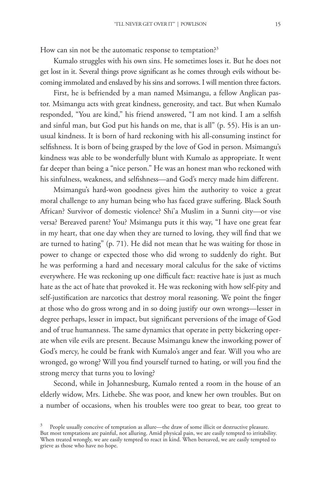How can sin not be the automatic response to temptation?<sup>3</sup>

Kumalo struggles with his own sins. He sometimes loses it. But he does not get lost in it. Several things prove signifcant as he comes through evils without becoming immolated and enslaved by his sins and sorrows. I will mention three factors.

First, he is befriended by a man named Msimangu, a fellow Anglican pastor. Msimangu acts with great kindness, generosity, and tact. But when Kumalo responded, "You are kind," his friend answered, "I am not kind. I am a selfsh and sinful man, but God put his hands on me, that is all" (p. 55). His is an unusual kindness. It is born of hard reckoning with his all-consuming instinct for selfshness. It is born of being grasped by the love of God in person. Msimangu's kindness was able to be wonderfully blunt with Kumalo as appropriate. It went far deeper than being a "nice person." He was an honest man who reckoned with his sinfulness, weakness, and selfshness—and God's mercy made him diferent.

Msimangu's hard-won goodness gives him the authority to voice a great moral challenge to any human being who has faced grave sufering. Black South African? Survivor of domestic violence? Shi'a Muslim in a Sunni city—or vise versa? Bereaved parent? You? Msimangu puts it this way, "I have one great fear in my heart, that one day when they are turned to loving, they will fnd that we are turned to hating" (p. 71). He did not mean that he was waiting for those in power to change or expected those who did wrong to suddenly do right. But he was performing a hard and necessary moral calculus for the sake of victims everywhere. He was reckoning up one difficult fact: reactive hate is just as much hate as the act of hate that provoked it. He was reckoning with how self-pity and self-justifcation are narcotics that destroy moral reasoning. We point the fnger at those who do gross wrong and in so doing justify our own wrongs—lesser in degree perhaps, lesser in impact, but signifcant perversions of the image of God and of true humanness. The same dynamics that operate in petty bickering operate when vile evils are present. Because Msimangu knew the inworking power of God's mercy, he could be frank with Kumalo's anger and fear. Will you who are wronged, go wrong? Will you fnd yourself turned to hating, or will you fnd the strong mercy that turns you to loving?

Second, while in Johannesburg, Kumalo rented a room in the house of an elderly widow, Mrs. Lithebe. She was poor, and knew her own troubles. But on a number of occasions, when his troubles were too great to bear, too great to

People usually conceive of temptation as allure—the draw of some illicit or destructive pleasure. But most temptations are painful, not alluring. Amid physical pain, we are easily tempted to irritability. When treated wrongly, we are easily tempted to react in kind. When bereaved, we are easily tempted to grieve as those who have no hope.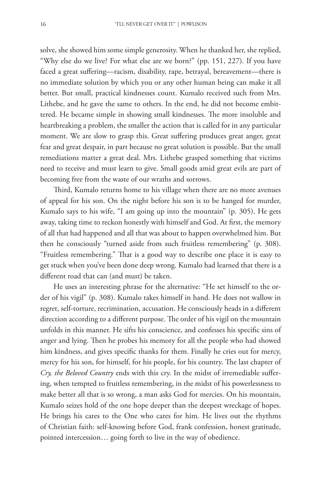solve, she showed him some simple generosity. When he thanked her, she replied, "Why else do we live? For what else are we born?" (pp. 151, 227). If you have faced a great sufering—racism, disability, rape, betrayal, bereavement—there is no immediate solution by which you or any other human being can make it all better. But small, practical kindnesses count. Kumalo received such from Mrs. Lithebe, and he gave the same to others. In the end, he did not become embittered. He became simple in showing small kindnesses. The more insoluble and heartbreaking a problem, the smaller the action that is called for in any particular moment. We are slow to grasp this. Great sufering produces great anger, great fear and great despair, in part because no great solution is possible. But the small remediations matter a great deal. Mrs. Lithebe grasped something that victims need to receive and must learn to give. Small goods amid great evils are part of becoming free from the waste of our wraths and sorrows.

Third, Kumalo returns home to his village when there are no more avenues of appeal for his son. On the night before his son is to be hanged for murder, Kumalo says to his wife, "I am going up into the mountain" (p. 305). He gets away, taking time to reckon honestly with himself and God. At frst, the memory of all that had happened and all that was about to happen overwhelmed him. But then he consciously "turned aside from such fruitless remembering" (p. 308). "Fruitless remembering." That is a good way to describe one place it is easy to get stuck when you've been done deep wrong. Kumalo had learned that there is a diferent road that can (and must) be taken.

He uses an interesting phrase for the alternative: "He set himself to the order of his vigil" (p. 308). Kumalo takes himself in hand. He does not wallow in regret, self-torture, recrimination, accusation. He consciously heads in a diferent direction according to a different purpose. The order of his vigil on the mountain unfolds in this manner. He sifts his conscience, and confesses his specifc sins of anger and lying. Then he probes his memory for all the people who had showed him kindness, and gives specifc thanks for them. Finally he cries out for mercy, mercy for his son, for himself, for his people, for his country. The last chapter of *Cry, the Beloved Country* ends with this cry. In the midst of irremediable sufering, when tempted to fruitless remembering, in the midst of his powerlessness to make better all that is so wrong, a man asks God for mercies. On his mountain, Kumalo seizes hold of the one hope deeper than the deepest wreckage of hopes. He brings his cares to the One who cares for him. He lives out the rhythms of Christian faith: self-knowing before God, frank confession, honest gratitude, pointed intercession… going forth to live in the way of obedience.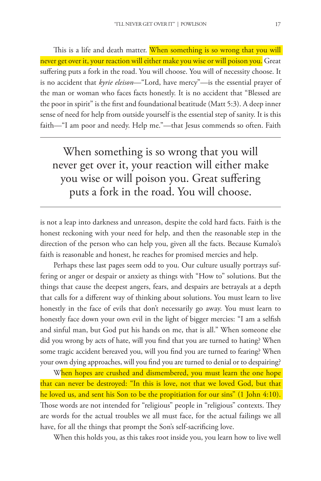This is a life and death matter. When something is so wrong that you will never get over it, your reaction will either make you wise or will poison you. Great sufering puts a fork in the road. You will choose. You will of necessity choose. It is no accident that *kyrie eleison*—"Lord, have mercy"—is the essential prayer of the man or woman who faces facts honestly. It is no accident that "Blessed are the poor in spirit" is the frst and foundational beatitude (Matt 5:3). A deep inner sense of need for help from outside yourself is the essential step of sanity. It is this faith—"I am poor and needy. Help me."—that Jesus commends so often. Faith

When something is so wrong that you will never get over it, your reaction will either make you wise or will poison you. Great sufering puts a fork in the road. You will choose.

is not a leap into darkness and unreason, despite the cold hard facts. Faith is the honest reckoning with your need for help, and then the reasonable step in the direction of the person who can help you, given all the facts. Because Kumalo's faith is reasonable and honest, he reaches for promised mercies and help.

Perhaps these last pages seem odd to you. Our culture usually portrays suffering or anger or despair or anxiety as things with "How to" solutions. But the things that cause the deepest angers, fears, and despairs are betrayals at a depth that calls for a diferent way of thinking about solutions. You must learn to live honestly in the face of evils that don't necessarily go away. You must learn to honestly face down your own evil in the light of bigger mercies: "I am a selfsh and sinful man, but God put his hands on me, that is all." When someone else did you wrong by acts of hate, will you fnd that you are turned to hating? When some tragic accident bereaved you, will you fnd you are turned to fearing? When your own dying approaches, will you fnd you are turned to denial or to despairing?

When hopes are crushed and dismembered, you must learn the one hope that can never be destroyed: "In this is love, not that we loved God, but that he loved us, and sent his Son to be the propitiation for our sins" (1 John 4:10). Those words are not intended for "religious" people in "religious" contexts. They are words for the actual troubles we all must face, for the actual failings we all have, for all the things that prompt the Son's self-sacrifcing love.

When this holds you, as this takes root inside you, you learn how to live well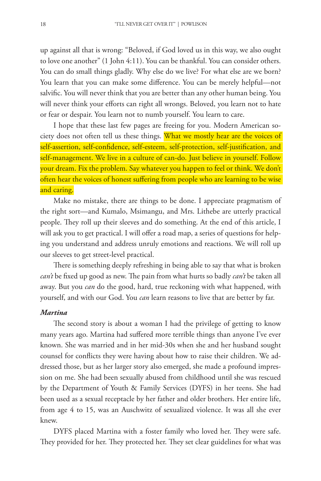up against all that is wrong: "Beloved, if God loved us in this way, we also ought to love one another" (1 John 4:11). You can be thankful. You can consider others. You can do small things gladly. Why else do we live? For what else are we born? You learn that you can make some diference. You can be merely helpful—not salvifc. You will never think that you are better than any other human being. You will never think your efforts can right all wrongs. Beloved, you learn not to hate or fear or despair. You learn not to numb yourself. You learn to care.

I hope that these last few pages are freeing for you. Modern American society does not often tell us these things. What we mostly hear are the voices of self-assertion, self-confdence, self-esteem, self-protection, self-justifcation, and self-management. We live in a culture of can-do. Just believe in yourself. Follow your dream. Fix the problem. Say whatever you happen to feel or think. We don't often hear the voices of honest sufering from people who are learning to be wise and caring.

Make no mistake, there are things to be done. I appreciate pragmatism of the right sort—and Kumalo, Msimangu, and Mrs. Lithebe are utterly practical people. They roll up their sleeves and do something. At the end of this article, I will ask you to get practical. I will offer a road map, a series of questions for helping you understand and address unruly emotions and reactions. We will roll up our sleeves to get street-level practical.

There is something deeply refreshing in being able to say that what is broken *can't* be fixed up good as new. The pain from what hurts so badly *can't* be taken all away. But you *can* do the good, hard, true reckoning with what happened, with yourself, and with our God. You *can* learn reasons to live that are better by far.

# *Martina*

The second story is about a woman I had the privilege of getting to know many years ago. Martina had sufered more terrible things than anyone I've ever known. She was married and in her mid-30s when she and her husband sought counsel for conficts they were having about how to raise their children. We addressed those, but as her larger story also emerged, she made a profound impression on me. She had been sexually abused from childhood until she was rescued by the Department of Youth & Family Services (DYFS) in her teens. She had been used as a sexual receptacle by her father and older brothers. Her entire life, from age 4 to 15, was an Auschwitz of sexualized violence. It was all she ever knew.

DYFS placed Martina with a foster family who loved her. They were safe. They provided for her. They protected her. They set clear guidelines for what was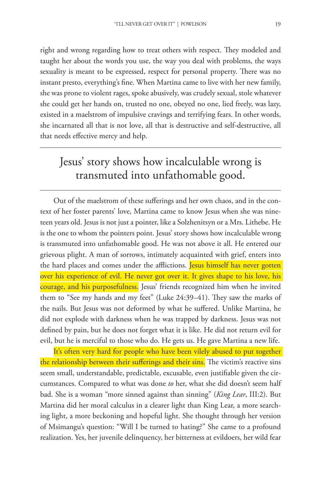right and wrong regarding how to treat others with respect. They modeled and taught her about the words you use, the way you deal with problems, the ways sexuality is meant to be expressed, respect for personal property. There was no instant presto, everything's fne. When Martina came to live with her new family, she was prone to violent rages, spoke abusively, was crudely sexual, stole whatever she could get her hands on, trusted no one, obeyed no one, lied freely, was lazy, existed in a maelstrom of impulsive cravings and terrifying fears. In other words, she incarnated all that is not love, all that is destructive and self-destructive, all that needs efective mercy and help.

# Jesus' story shows how incalculable wrong is transmuted into unfathomable good.

Out of the maelstrom of these suferings and her own chaos, and in the context of her foster parents' love, Martina came to know Jesus when she was nineteen years old. Jesus is not just a pointer, like a Solzhenitsyn or a Mrs. Lithebe. He is the one to whom the pointers point. Jesus' story shows how incalculable wrong is transmuted into unfathomable good. He was not above it all. He entered our grievous plight. A man of sorrows, intimately acquainted with grief, enters into the hard places and comes under the afflictions. <mark>Jesus himself has never gotten</mark> over his experience of evil. He never got over it. It gives shape to his love, his courage, and his purposefulness. Jesus' friends recognized him when he invited them to "See my hands and my feet" (Luke 24:39–41). They saw the marks of the nails. But Jesus was not deformed by what he sufered. Unlike Martina, he did not explode with darkness when he was trapped by darkness. Jesus was not defned by pain, but he does not forget what it is like. He did not return evil for evil, but he is merciful to those who do. He gets us. He gave Martina a new life.

It's often very hard for people who have been vilely abused to put together the relationship between their sufferings and their sins. The victim's reactive sins seem small, understandable, predictable, excusable, even justifable given the circumstances. Compared to what was done *to* her, what she did doesn't seem half bad. She is a woman "more sinned against than sinning" (*King Lear*, III:2). But Martina did her moral calculus in a clearer light than King Lear, a more searching light, a more beckoning and hopeful light. She thought through her version of Msimangu's question: "Will I be turned to hating?" She came to a profound realization. Yes, her juvenile delinquency, her bitterness at evildoers, her wild fear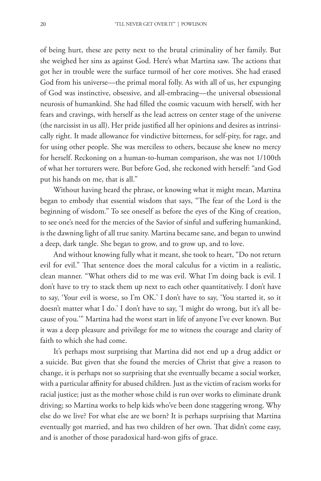of being hurt, these are petty next to the brutal criminality of her family. But she weighed her sins as against God. Here's what Martina saw. The actions that got her in trouble were the surface turmoil of her core motives. She had erased God from his universe—the primal moral folly. As with all of us, her expunging of God was instinctive, obsessive, and all-embracing—the universal obsessional neurosis of humankind. She had flled the cosmic vacuum with herself, with her fears and cravings, with herself as the lead actress on center stage of the universe (the narcissist in us all). Her pride justifed all her opinions and desires as intrinsically right. It made allowance for vindictive bitterness, for self-pity, for rage, and for using other people. She was merciless to others, because she knew no mercy for herself. Reckoning on a human-to-human comparison, she was not 1/100th of what her torturers were. But before God, she reckoned with herself: "and God put his hands on me, that is all."

Without having heard the phrase, or knowing what it might mean, Martina began to embody that essential wisdom that says, "The fear of the Lord is the beginning of wisdom." To see oneself as before the eyes of the King of creation, to see one's need for the mercies of the Savior of sinful and sufering humankind, is the dawning light of all true sanity. Martina became sane, and began to unwind a deep, dark tangle. She began to grow, and to grow up, and to love.

And without knowing fully what it meant, she took to heart, "Do not return evil for evil." That sentence does the moral calculus for a victim in a realistic, clean manner. "What others did to me was evil. What I'm doing back is evil. I don't have to try to stack them up next to each other quantitatively. I don't have to say, 'Your evil is worse, so I'm OK.' I don't have to say, 'You started it, so it doesn't matter what I do.' I don't have to say, 'I might do wrong, but it's all because of you.'" Martina had the worst start in life of anyone I've ever known. But it was a deep pleasure and privilege for me to witness the courage and clarity of faith to which she had come.

It's perhaps most surprising that Martina did not end up a drug addict or a suicide. But given that she found the mercies of Christ that give a reason to change, it is perhaps not so surprising that she eventually became a social worker, with a particular afnity for abused children. Just as the victim of racism works for racial justice; just as the mother whose child is run over works to eliminate drunk driving; so Martina works to help kids who've been done staggering wrong. Why else do we live? For what else are we born? It is perhaps surprising that Martina eventually got married, and has two children of her own. That didn't come easy, and is another of those paradoxical hard-won gifts of grace.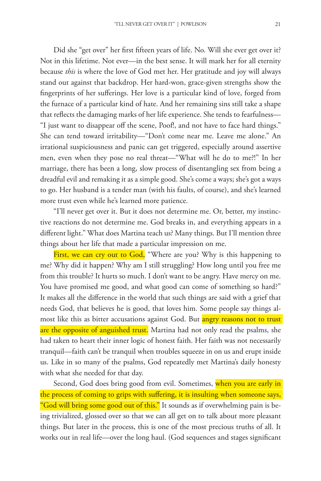Did she "get over" her frst ffteen years of life. No. Will she ever get over it? Not in this lifetime. Not ever—in the best sense. It will mark her for all eternity because *this* is where the love of God met her. Her gratitude and joy will always stand out against that backdrop. Her hard-won, grace-given strengths show the fngerprints of her suferings. Her love is a particular kind of love, forged from the furnace of a particular kind of hate. And her remaining sins still take a shape that refects the damaging marks of her life experience. She tends to fearfulness— "I just want to disappear off the scene, Poof!, and not have to face hard things." She can tend toward irritability—"Don't come near me. Leave me alone." An irrational suspiciousness and panic can get triggered, especially around assertive men, even when they pose no real threat—"What will he do to me?!" In her marriage, there has been a long, slow process of disentangling sex from being a dreadful evil and remaking it as a simple good. She's come a ways; she's got a ways to go. Her husband is a tender man (with his faults, of course), and she's learned more trust even while he's learned more patience.

"I'll never get over it. But it does not determine me. Or, better, my instinctive reactions do not determine me. God breaks in, and everything appears in a diferent light." What does Martina teach us? Many things. But I'll mention three things about her life that made a particular impression on me.

First, we can cry out to God, "Where are you? Why is this happening to me? Why did it happen? Why am I still struggling? How long until you free me from this trouble? It hurts so much. I don't want to be angry. Have mercy on me. You have promised me good, and what good can come of something so hard?" It makes all the diference in the world that such things are said with a grief that needs God, that believes he is good, that loves him. Some people say things almost like this as bitter accusations against God. But <mark>angry reasons not to trust</mark> are the opposite of anguished trust. Martina had not only read the psalms, she had taken to heart their inner logic of honest faith. Her faith was not necessarily tranquil—faith can't be tranquil when troubles squeeze in on us and erupt inside us. Like in so many of the psalms, God repeatedly met Martina's daily honesty with what she needed for that day.

Second, God does bring good from evil. Sometimes, when you are early in the process of coming to grips with sufering, it is insulting when someone says, "God will bring some good out of this." It sounds as if overwhelming pain is being trivialized, glossed over so that we can all get on to talk about more pleasant things. But later in the process, this is one of the most precious truths of all. It works out in real life—over the long haul. (God sequences and stages signifcant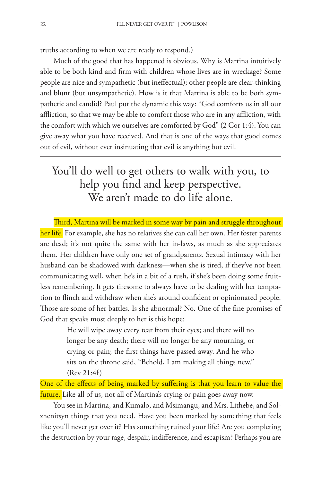truths according to when we are ready to respond.)

Much of the good that has happened is obvious. Why is Martina intuitively able to be both kind and frm with children whose lives are in wreckage? Some people are nice and sympathetic (but inefectual); other people are clear-thinking and blunt (but unsympathetic). How is it that Martina is able to be both sympathetic and candid? Paul put the dynamic this way: "God comforts us in all our afiction, so that we may be able to comfort those who are in any afiction, with the comfort with which we ourselves are comforted by God" (2 Cor 1:4). You can give away what you have received. And that is one of the ways that good comes out of evil, without ever insinuating that evil is anything but evil.

# You'll do well to get others to walk with you, to help you fnd and keep perspective. We aren't made to do life alone.

Third, Martina will be marked in some way by pain and struggle throughout her life. For example, she has no relatives she can call her own. Her foster parents are dead; it's not quite the same with her in-laws, as much as she appreciates them. Her children have only one set of grandparents. Sexual intimacy with her husband can be shadowed with darkness—when she is tired, if they've not been communicating well, when he's in a bit of a rush, if she's been doing some fruitless remembering. It gets tiresome to always have to be dealing with her temptation to finch and withdraw when she's around confdent or opinionated people. Those are some of her battles. Is she abnormal? No. One of the fine promises of God that speaks most deeply to her is this hope:

> He will wipe away every tear from their eyes; and there will no longer be any death; there will no longer be any mourning, or crying or pain; the frst things have passed away. And he who sits on the throne said, "Behold, I am making all things new." (Rev 21:4f)

One of the effects of being marked by suffering is that you learn to value the future. Like all of us, not all of Martina's crying or pain goes away now.

You see in Martina, and Kumalo, and Msimangu, and Mrs. Lithebe, and Solzhenitsyn things that you need. Have you been marked by something that feels like you'll never get over it? Has something ruined your life? Are you completing the destruction by your rage, despair, indiference, and escapism? Perhaps you are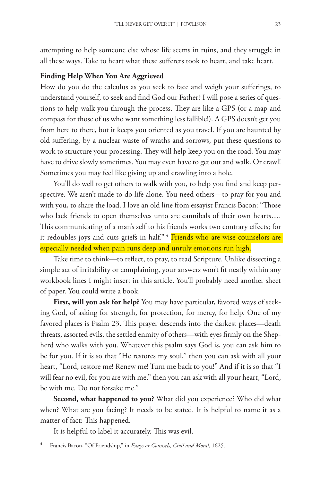attempting to help someone else whose life seems in ruins, and they struggle in all these ways. Take to heart what these suferers took to heart, and take heart.

### **Finding Help When You Are Aggrieved**

How do you do the calculus as you seek to face and weigh your suferings, to understand yourself, to seek and fnd God our Father? I will pose a series of questions to help walk you through the process. They are like a GPS (or a map and compass for those of us who want something less fallible!). A GPS doesn't get you from here to there, but it keeps you oriented as you travel. If you are haunted by old sufering, by a nuclear waste of wraths and sorrows, put these questions to work to structure your processing. They will help keep you on the road. You may have to drive slowly sometimes. You may even have to get out and walk. Or crawl! Sometimes you may feel like giving up and crawling into a hole.

You'll do well to get others to walk with you, to help you fnd and keep perspective. We aren't made to do life alone. You need others—to pray for you and with you, to share the load. I love an old line from essayist Francis Bacon: "Those who lack friends to open themselves unto are cannibals of their own hearts…. This communicating of a man's self to his friends works two contrary effects; for it redoubles joys and cuts griefs in half."<sup>4</sup> Friends who are wise counselors are especially needed when pain runs deep and unruly emotions run high.

Take time to think—to refect, to pray, to read Scripture. Unlike dissecting a simple act of irritability or complaining, your answers won't ft neatly within any workbook lines I might insert in this article. You'll probably need another sheet of paper. You could write a book.

**First, will you ask for help?** You may have particular, favored ways of seeking God, of asking for strength, for protection, for mercy, for help. One of my favored places is Psalm 23. Tis prayer descends into the darkest places—death threats, assorted evils, the settled enmity of others—with eyes frmly on the Shepherd who walks with you. Whatever this psalm says God is, you can ask him to be for you. If it is so that "He restores my soul," then you can ask with all your heart, "Lord, restore me! Renew me! Turn me back to you!" And if it is so that "I will fear no evil, for you are with me," then you can ask with all your heart, "Lord, be with me. Do not forsake me."

**Second, what happened to you?** What did you experience? Who did what when? What are you facing? It needs to be stated. It is helpful to name it as a matter of fact: This happened.

It is helpful to label it accurately. This was evil.

<sup>4</sup> Francis Bacon, "Of Friendship," in *Essays or Counsels, Civil and Moral*, 1625.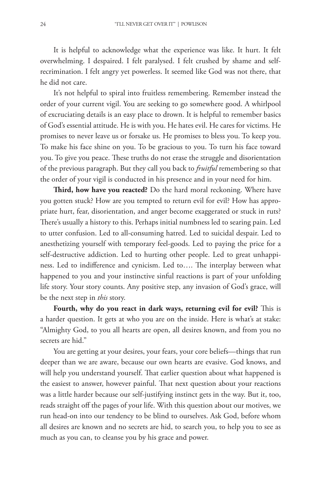It is helpful to acknowledge what the experience was like. It hurt. It felt overwhelming. I despaired. I felt paralysed. I felt crushed by shame and selfrecrimination. I felt angry yet powerless. It seemed like God was not there, that he did not care.

It's not helpful to spiral into fruitless remembering. Remember instead the order of your current vigil. You are seeking to go somewhere good. A whirlpool of excruciating details is an easy place to drown. It is helpful to remember basics of God's essential attitude. He is with you. He hates evil. He cares for victims. He promises to never leave us or forsake us. He promises to bless you. To keep you. To make his face shine on you. To be gracious to you. To turn his face toward you. To give you peace. These truths do not erase the struggle and disorientation of the previous paragraph. But they call you back to *fruitful* remembering so that the order of your vigil is conducted in his presence and in your need for him.

Third, how have you reacted? Do the hard moral reckoning. Where have you gotten stuck? How are you tempted to return evil for evil? How has appropriate hurt, fear, disorientation, and anger become exaggerated or stuck in ruts? There's usually a history to this. Perhaps initial numbness led to searing pain. Led to utter confusion. Led to all-consuming hatred. Led to suicidal despair. Led to anesthetizing yourself with temporary feel-goods. Led to paying the price for a self-destructive addiction. Led to hurting other people. Led to great unhappiness. Led to indifference and cynicism. Led to.... The interplay between what happened to you and your instinctive sinful reactions is part of your unfolding life story. Your story counts. Any positive step, any invasion of God's grace, will be the next step in *this* story.

Fourth, why do you react in dark ways, returning evil for evil? This is a harder question. It gets at who you are on the inside. Here is what's at stake: "Almighty God, to you all hearts are open, all desires known, and from you no secrets are hid."

You are getting at your desires, your fears, your core beliefs—things that run deeper than we are aware, because our own hearts are evasive. God knows, and will help you understand yourself. That earlier question about what happened is the easiest to answer, however painful. That next question about your reactions was a little harder because our self-justifying instinct gets in the way. But it, too, reads straight off the pages of your life. With this question about our motives, we run head-on into our tendency to be blind to ourselves. Ask God, before whom all desires are known and no secrets are hid, to search you, to help you to see as much as you can, to cleanse you by his grace and power.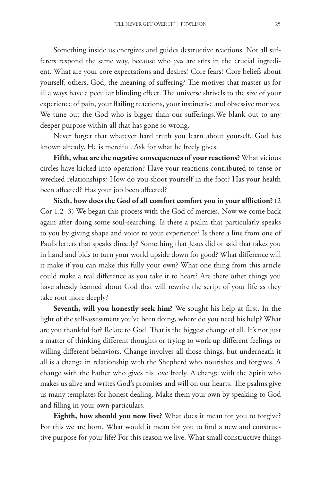Something inside us energizes and guides destructive reactions. Not all sufferers respond the same way, because who *you* are stirs in the crucial ingredient. What are your core expectations and desires? Core fears? Core beliefs about yourself, others, God, the meaning of suffering? The motives that master us for ill always have a peculiar blinding effect. The universe shrivels to the size of your experience of pain, your failing reactions, your instinctive and obsessive motives. We tune out the God who is bigger than our suferings.We blank out to any deeper purpose within all that has gone so wrong.

Never forget that whatever hard truth you learn about yourself, God has known already. He is merciful. Ask for what he freely gives.

**Fifth, what are the negative consequences of your reactions?** What vicious circles have kicked into operation? Have your reactions contributed to tense or wrecked relationships? How do you shoot yourself in the foot? Has your health been afected? Has your job been afected?

**Sixth, how does the God of all comfort comfort you in your afiction?** (2 Cor 1:2–3) We began this process with the God of mercies. Now we come back again after doing some soul-searching. Is there a psalm that particularly speaks to you by giving shape and voice to your experience? Is there a line from one of Paul's letters that speaks directly? Something that Jesus did or said that takes you in hand and bids to turn your world upside down for good? What diference will it make if you can make this fully your own? What one thing from this article could make a real diference as you take it to heart? Are there other things you have already learned about God that will rewrite the script of your life as they take root more deeply?

Seventh, will you honestly seek him? We sought his help at first. In the light of the self-assessment you've been doing, where do you need his help? What are you thankful for? Relate to God. That is the biggest change of all. It's not just a matter of thinking diferent thoughts or trying to work up diferent feelings or willing diferent behaviors. Change involves all those things, but underneath it all is a change in relationship with the Shepherd who nourishes and forgives. A change with the Father who gives his love freely. A change with the Spirit who makes us alive and writes God's promises and will on our hearts. The psalms give us many templates for honest dealing. Make them your own by speaking to God and flling in your own particulars.

**Eighth, how should you now live?** What does it mean for you to forgive? For this we are born. What would it mean for you to fnd a new and constructive purpose for your life? For this reason we live. What small constructive things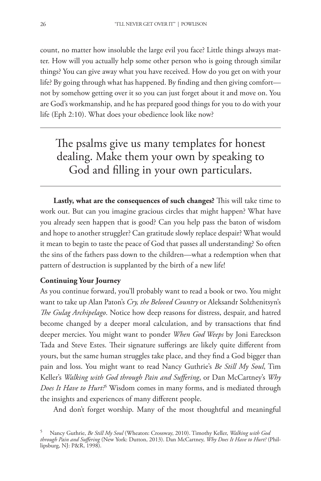count, no matter how insoluble the large evil you face? Little things always matter. How will you actually help some other person who is going through similar things? You can give away what you have received. How do you get on with your life? By going through what has happened. By fnding and then giving comfort not by somehow getting over it so you can just forget about it and move on. You are God's workmanship, and he has prepared good things for you to do with your life (Eph 2:10). What does your obedience look like now?

The psalms give us many templates for honest dealing. Make them your own by speaking to God and flling in your own particulars.

Lastly, what are the consequences of such changes? This will take time to work out. But can you imagine gracious circles that might happen? What have you already seen happen that is good? Can you help pass the baton of wisdom and hope to another struggler? Can gratitude slowly replace despair? What would it mean to begin to taste the peace of God that passes all understanding? So often the sins of the fathers pass down to the children—what a redemption when that pattern of destruction is supplanted by the birth of a new life!

## **Continuing Your Journey**

As you continue forward, you'll probably want to read a book or two. You might want to take up Alan Paton's *Cry, the Beloved Country* or Aleksandr Solzhenitsyn's *Te Gulag Archipelago*. Notice how deep reasons for distress, despair, and hatred become changed by a deeper moral calculation, and by transactions that fnd deeper mercies. You might want to ponder *When God Weeps* by Joni Eareckson Tada and Steve Estes. Their signature sufferings are likely quite different from yours, but the same human struggles take place, and they fnd a God bigger than pain and loss. You might want to read Nancy Guthrie's *Be Still My Soul*, Tim Keller's *Walking with God through Pain and Sufering*, or Dan McCartney's *Why Does It Have to Hurt?*<sup>5</sup> Wisdom comes in many forms, and is mediated through the insights and experiences of many diferent people.

And don't forget worship. Many of the most thoughtful and meaningful

<sup>5</sup> Nancy Guthrie, *Be Still My Soul* (Wheaton: Crossway, 2010). Timothy Keller, *Walking with God through Pain and Sufering* (New York: Dutton, 2013). Dan McCartney, *Why Does It Have to Hurt?* (Phillipsburg, NJ: P&R, 1998).